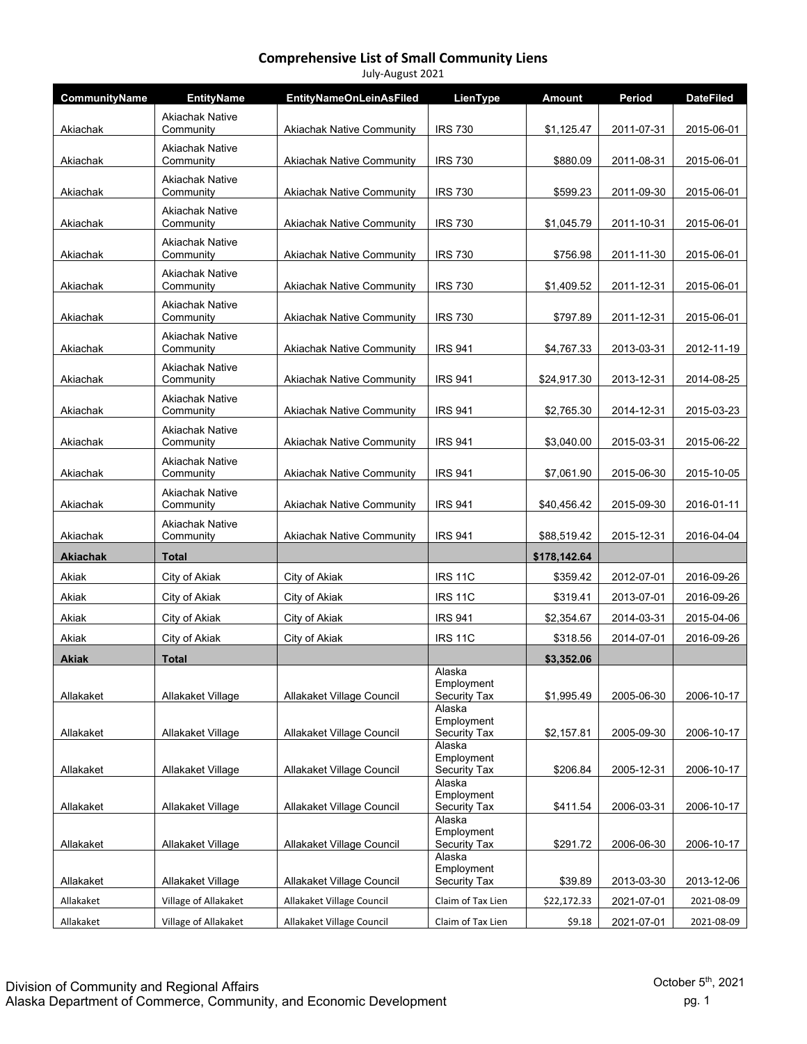| July-August 2021     |                                     |                                  |                                      |               |            |                  |  |
|----------------------|-------------------------------------|----------------------------------|--------------------------------------|---------------|------------|------------------|--|
| <b>CommunityName</b> | <b>EntityName</b>                   | <b>EntityNameOnLeinAsFiled</b>   | LienType                             | <b>Amount</b> | Period     | <b>DateFiled</b> |  |
| Akiachak             | <b>Akiachak Native</b><br>Community | <b>Akiachak Native Community</b> | <b>IRS 730</b>                       | \$1,125.47    | 2011-07-31 | 2015-06-01       |  |
| Akiachak             | Akiachak Native<br>Community        | <b>Akiachak Native Community</b> | <b>IRS 730</b>                       | \$880.09      | 2011-08-31 | 2015-06-01       |  |
| Akiachak             | <b>Akiachak Native</b><br>Community | <b>Akiachak Native Community</b> | <b>IRS 730</b>                       | \$599.23      | 2011-09-30 | 2015-06-01       |  |
| Akiachak             | <b>Akiachak Native</b><br>Community | <b>Akiachak Native Community</b> | <b>IRS 730</b>                       | \$1,045.79    | 2011-10-31 | 2015-06-01       |  |
| Akiachak             | <b>Akiachak Native</b><br>Community | <b>Akiachak Native Community</b> | <b>IRS 730</b>                       | \$756.98      | 2011-11-30 | 2015-06-01       |  |
| Akiachak             | Akiachak Native<br>Community        | <b>Akiachak Native Community</b> | <b>IRS 730</b>                       | \$1,409.52    | 2011-12-31 | 2015-06-01       |  |
| Akiachak             | <b>Akiachak Native</b><br>Community | <b>Akiachak Native Community</b> | <b>IRS 730</b>                       | \$797.89      | 2011-12-31 | 2015-06-01       |  |
| Akiachak             | <b>Akiachak Native</b><br>Community | <b>Akiachak Native Community</b> | <b>IRS 941</b>                       | \$4,767.33    | 2013-03-31 | 2012-11-19       |  |
| Akiachak             | <b>Akiachak Native</b><br>Community | <b>Akiachak Native Community</b> | <b>IRS 941</b>                       | \$24,917.30   | 2013-12-31 | 2014-08-25       |  |
| Akiachak             | <b>Akiachak Native</b><br>Community | <b>Akiachak Native Community</b> | <b>IRS 941</b>                       | \$2,765.30    | 2014-12-31 | 2015-03-23       |  |
| Akiachak             | <b>Akiachak Native</b><br>Community | <b>Akiachak Native Community</b> | <b>IRS 941</b>                       | \$3,040.00    | 2015-03-31 | 2015-06-22       |  |
| Akiachak             | <b>Akiachak Native</b><br>Community | <b>Akiachak Native Community</b> | <b>IRS 941</b>                       | \$7,061.90    | 2015-06-30 | 2015-10-05       |  |
| Akiachak             | <b>Akiachak Native</b><br>Community | <b>Akiachak Native Community</b> | <b>IRS 941</b>                       | \$40,456.42   | 2015-09-30 | 2016-01-11       |  |
| Akiachak             | <b>Akiachak Native</b><br>Community | <b>Akiachak Native Community</b> | <b>IRS 941</b>                       | \$88,519.42   | 2015-12-31 | 2016-04-04       |  |
| <b>Akiachak</b>      | Total                               |                                  |                                      | \$178,142.64  |            |                  |  |
| Akiak                | City of Akiak                       | City of Akiak                    | <b>IRS 11C</b>                       | \$359.42      | 2012-07-01 | 2016-09-26       |  |
| Akiak                | City of Akiak                       | City of Akiak                    | <b>IRS 11C</b>                       | \$319.41      | 2013-07-01 | 2016-09-26       |  |
| Akiak                | City of Akiak                       | City of Akiak                    | <b>IRS 941</b>                       | \$2,354.67    | 2014-03-31 | 2015-04-06       |  |
| Akiak                | City of Akiak                       | City of Akiak                    | <b>IRS 11C</b>                       | \$318.56      | 2014-07-01 | 2016-09-26       |  |
| <b>Akiak</b>         | <b>Total</b>                        |                                  |                                      | \$3.352.06    |            |                  |  |
| Allakaket            | Allakaket Village                   | Allakaket Village Council        | Alaska<br>Employment<br>Security Tax | \$1,995.49    | 2005-06-30 | 2006-10-17       |  |
| Allakaket            | Allakaket Village                   | Allakaket Village Council        | Alaska<br>Employment<br>Security Tax | \$2,157.81    | 2005-09-30 | 2006-10-17       |  |
| Allakaket            | Allakaket Village                   | Allakaket Village Council        | Alaska<br>Employment<br>Security Tax | \$206.84      | 2005-12-31 | 2006-10-17       |  |
| Allakaket            | Allakaket Village                   | Allakaket Village Council        | Alaska<br>Employment<br>Security Tax | \$411.54      | 2006-03-31 | 2006-10-17       |  |
| Allakaket            | Allakaket Village                   | Allakaket Village Council        | Alaska<br>Employment<br>Security Tax | \$291.72      | 2006-06-30 | 2006-10-17       |  |
| Allakaket            | Allakaket Village                   | Allakaket Village Council        | Alaska<br>Employment<br>Security Tax | \$39.89       | 2013-03-30 | 2013-12-06       |  |
| Allakaket            | Village of Allakaket                | Allakaket Village Council        | Claim of Tax Lien                    | \$22,172.33   | 2021-07-01 | 2021-08-09       |  |
| Allakaket            | Village of Allakaket                | Allakaket Village Council        | Claim of Tax Lien                    | \$9.18        | 2021-07-01 | 2021-08-09       |  |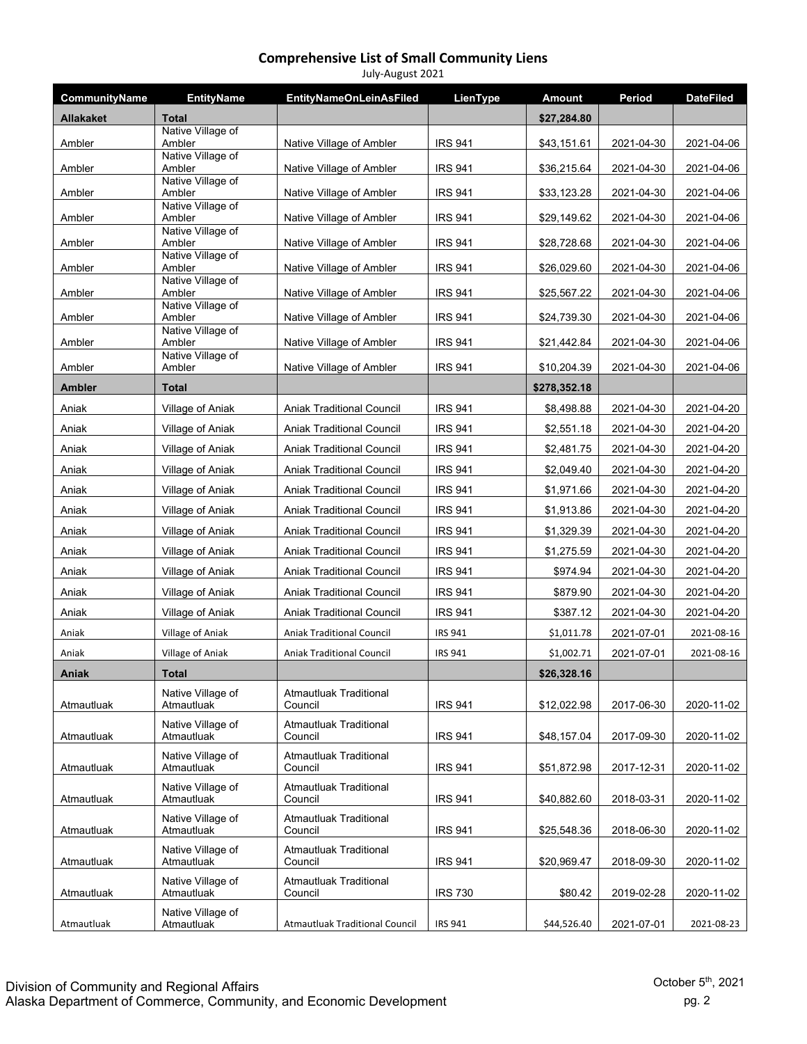#### **Comprehensive List of Small Community Liens** July-August 2021

| <b>CommunityName</b> | <b>EntityName</b>               | <b>EntityNameOnLeinAsFiled</b>           | LienType       | <b>Amount</b> | Period     | <b>DateFiled</b> |
|----------------------|---------------------------------|------------------------------------------|----------------|---------------|------------|------------------|
| <b>Allakaket</b>     | <b>Total</b>                    |                                          |                | \$27,284.80   |            |                  |
| Ambler               | Native Village of<br>Ambler     | Native Village of Ambler                 | <b>IRS 941</b> | \$43,151.61   | 2021-04-30 | 2021-04-06       |
|                      | Native Village of               |                                          |                |               |            |                  |
| Ambler               | Ambler<br>Native Village of     | Native Village of Ambler                 | <b>IRS 941</b> | \$36,215.64   | 2021-04-30 | 2021-04-06       |
| Ambler               | Ambler<br>Native Village of     | Native Village of Ambler                 | <b>IRS 941</b> | \$33,123.28   | 2021-04-30 | 2021-04-06       |
| Ambler               | Ambler                          | Native Village of Ambler                 | <b>IRS 941</b> | \$29,149.62   | 2021-04-30 | 2021-04-06       |
| Ambler               | Native Village of<br>Ambler     | Native Village of Ambler                 | <b>IRS 941</b> | \$28,728.68   | 2021-04-30 | 2021-04-06       |
| Ambler               | Native Village of<br>Ambler     | Native Village of Ambler                 | <b>IRS 941</b> | \$26,029.60   | 2021-04-30 | 2021-04-06       |
|                      | Native Village of               |                                          |                |               |            |                  |
| Ambler               | Ambler<br>Native Village of     | Native Village of Ambler                 | <b>IRS 941</b> | \$25,567.22   | 2021-04-30 | 2021-04-06       |
| Ambler               | Ambler                          | Native Village of Ambler                 | <b>IRS 941</b> | \$24,739.30   | 2021-04-30 | 2021-04-06       |
| Ambler               | Native Village of<br>Ambler     | Native Village of Ambler                 | <b>IRS 941</b> | \$21,442.84   | 2021-04-30 | 2021-04-06       |
| Ambler               | Native Village of<br>Ambler     | Native Village of Ambler                 | <b>IRS 941</b> | \$10,204.39   | 2021-04-30 | 2021-04-06       |
| <b>Ambler</b>        | <b>Total</b>                    |                                          |                | \$278,352.18  |            |                  |
| Aniak                | Village of Aniak                | <b>Aniak Traditional Council</b>         | <b>IRS 941</b> | \$8,498.88    | 2021-04-30 | 2021-04-20       |
| Aniak                | Village of Aniak                | Aniak Traditional Council                | <b>IRS 941</b> | \$2,551.18    | 2021-04-30 | 2021-04-20       |
| Aniak                | Village of Aniak                | <b>Aniak Traditional Council</b>         | <b>IRS 941</b> | \$2,481.75    | 2021-04-30 | 2021-04-20       |
| Aniak                | Village of Aniak                | <b>Aniak Traditional Council</b>         | <b>IRS 941</b> | \$2,049.40    | 2021-04-30 | 2021-04-20       |
| Aniak                | Village of Aniak                | <b>Aniak Traditional Council</b>         | <b>IRS 941</b> | \$1,971.66    | 2021-04-30 | 2021-04-20       |
| Aniak                | Village of Aniak                | <b>Aniak Traditional Council</b>         | <b>IRS 941</b> | \$1,913.86    | 2021-04-30 | 2021-04-20       |
| Aniak                | Village of Aniak                | <b>Aniak Traditional Council</b>         | <b>IRS 941</b> | \$1,329.39    | 2021-04-30 | 2021-04-20       |
| Aniak                | Village of Aniak                | <b>Aniak Traditional Council</b>         | <b>IRS 941</b> | \$1,275.59    | 2021-04-30 | 2021-04-20       |
| Aniak                | Village of Aniak                | <b>Aniak Traditional Council</b>         | <b>IRS 941</b> | \$974.94      | 2021-04-30 | 2021-04-20       |
| Aniak                | Village of Aniak                | <b>Aniak Traditional Council</b>         | <b>IRS 941</b> | \$879.90      | 2021-04-30 | 2021-04-20       |
| Aniak                | Village of Aniak                | Aniak Traditional Council                | <b>IRS 941</b> | \$387.12      | 2021-04-30 | 2021-04-20       |
| Aniak                | Village of Aniak                | <b>Aniak Traditional Council</b>         | IRS 941        | \$1,011.78    | 2021-07-01 | 2021-08-16       |
| Aniak                | Village of Aniak                | <b>Aniak Traditional Council</b>         | <b>IRS 941</b> | \$1,002.71    | 2021-07-01 | 2021-08-16       |
| Aniak                | <b>Total</b>                    |                                          |                | \$26,328.16   |            |                  |
|                      | Native Village of               | <b>Atmautluak Traditional</b>            |                |               |            |                  |
| Atmautluak           | Atmautluak                      | Council                                  | <b>IRS 941</b> | \$12,022.98   | 2017-06-30 | 2020-11-02       |
| Atmautluak           | Native Village of<br>Atmautluak | <b>Atmautluak Traditional</b><br>Council | <b>IRS 941</b> | \$48,157.04   | 2017-09-30 | 2020-11-02       |
| Atmautluak           | Native Village of<br>Atmautluak | <b>Atmautluak Traditional</b><br>Council | <b>IRS 941</b> | \$51,872.98   | 2017-12-31 | 2020-11-02       |
|                      | Native Village of               | <b>Atmautluak Traditional</b>            |                |               |            |                  |
| Atmautluak           | Atmautluak                      | Council                                  | <b>IRS 941</b> | \$40,882.60   | 2018-03-31 | 2020-11-02       |
| Atmautluak           | Native Village of<br>Atmautluak | <b>Atmautluak Traditional</b><br>Council | <b>IRS 941</b> | \$25,548.36   | 2018-06-30 | 2020-11-02       |
| Atmautluak           | Native Village of<br>Atmautluak | <b>Atmautluak Traditional</b><br>Council | <b>IRS 941</b> | \$20,969.47   | 2018-09-30 | 2020-11-02       |
| Atmautluak           | Native Village of<br>Atmautluak | <b>Atmautluak Traditional</b><br>Council | <b>IRS 730</b> | \$80.42       | 2019-02-28 | 2020-11-02       |
| Atmautluak           | Native Village of<br>Atmautluak | <b>Atmautluak Traditional Council</b>    | <b>IRS 941</b> | \$44,526.40   | 2021-07-01 | 2021-08-23       |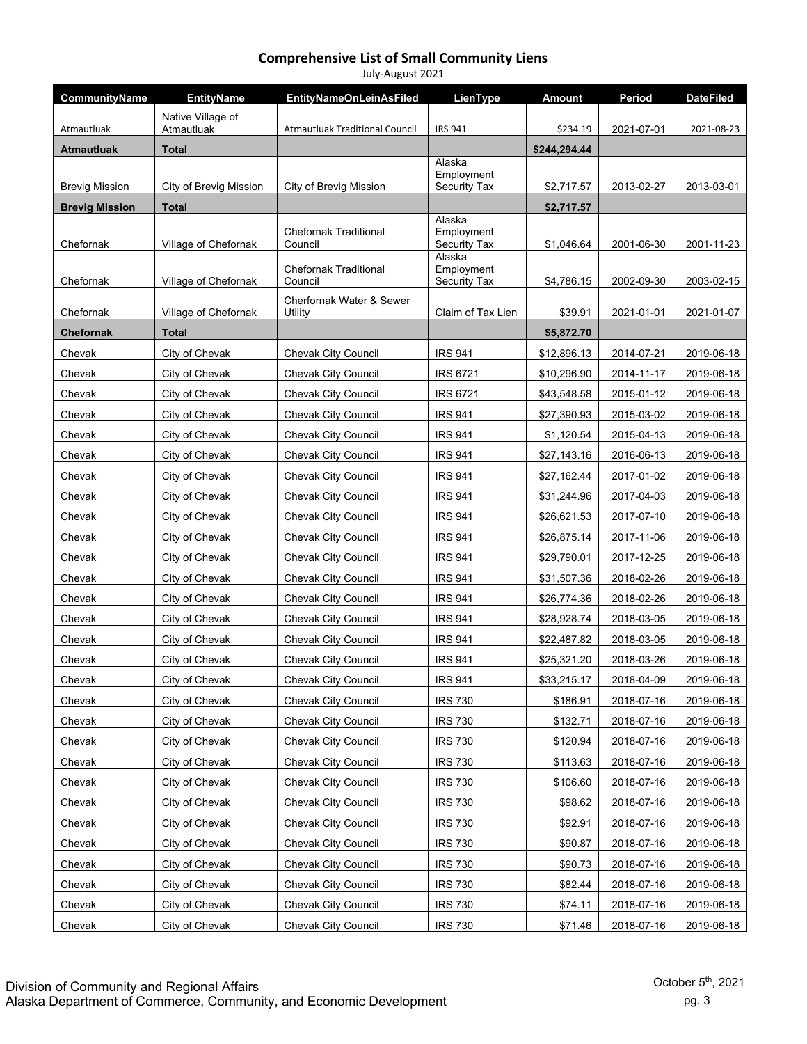| July-August 2021      |                                 |                                         |                                                       |              |            |                  |  |
|-----------------------|---------------------------------|-----------------------------------------|-------------------------------------------------------|--------------|------------|------------------|--|
| CommunityName         | <b>EntityName</b>               | <b>EntityNameOnLeinAsFiled</b>          | <b>LienType</b>                                       | Amount       | Period     | <b>DateFiled</b> |  |
| Atmautluak            | Native Village of<br>Atmautluak | <b>Atmautluak Traditional Council</b>   | <b>IRS 941</b>                                        | \$234.19     | 2021-07-01 | 2021-08-23       |  |
| <b>Atmautluak</b>     | Total                           |                                         |                                                       | \$244,294.44 |            |                  |  |
|                       |                                 |                                         | Alaska                                                |              |            |                  |  |
| <b>Brevig Mission</b> | City of Brevig Mission          | City of Brevig Mission                  | Employment<br><b>Security Tax</b>                     | \$2,717.57   | 2013-02-27 | 2013-03-01       |  |
| <b>Brevig Mission</b> | Total                           |                                         |                                                       | \$2,717.57   |            |                  |  |
| Chefornak             | Village of Chefornak            | <b>Chefornak Traditional</b><br>Council | Alaska<br>Employment<br><b>Security Tax</b><br>Alaska | \$1.046.64   | 2001-06-30 | 2001-11-23       |  |
| Chefornak             | Village of Chefornak            | <b>Chefornak Traditional</b><br>Council | Employment<br><b>Security Tax</b>                     | \$4,786.15   | 2002-09-30 | 2003-02-15       |  |
| Chefornak             | Village of Chefornak            | Cherfornak Water & Sewer<br>Utility     | Claim of Tax Lien                                     | \$39.91      | 2021-01-01 | 2021-01-07       |  |
| <b>Chefornak</b>      | Total                           |                                         |                                                       | \$5,872.70   |            |                  |  |
| Chevak                | City of Chevak                  | <b>Chevak City Council</b>              | <b>IRS 941</b>                                        | \$12,896.13  | 2014-07-21 | 2019-06-18       |  |
| Chevak                | City of Chevak                  | <b>Chevak City Council</b>              | <b>IRS 6721</b>                                       | \$10,296.90  | 2014-11-17 | 2019-06-18       |  |
| Chevak                | City of Chevak                  | <b>Chevak City Council</b>              | <b>IRS 6721</b>                                       | \$43,548.58  | 2015-01-12 | 2019-06-18       |  |
| Chevak                | City of Chevak                  | Chevak City Council                     | <b>IRS 941</b>                                        | \$27,390.93  | 2015-03-02 | 2019-06-18       |  |
| Chevak                | City of Chevak                  | <b>Chevak City Council</b>              | <b>IRS 941</b>                                        | \$1,120.54   | 2015-04-13 | 2019-06-18       |  |
| Chevak                | City of Chevak                  | <b>Chevak City Council</b>              | <b>IRS 941</b>                                        | \$27,143.16  | 2016-06-13 | 2019-06-18       |  |
| Chevak                | City of Chevak                  | <b>Chevak City Council</b>              | <b>IRS 941</b>                                        | \$27,162.44  | 2017-01-02 | 2019-06-18       |  |
| Chevak                | City of Chevak                  | <b>Chevak City Council</b>              | <b>IRS 941</b>                                        | \$31,244.96  | 2017-04-03 | 2019-06-18       |  |
| Chevak                | City of Chevak                  | <b>Chevak City Council</b>              | <b>IRS 941</b>                                        | \$26,621.53  | 2017-07-10 | 2019-06-18       |  |
| Chevak                | City of Chevak                  | <b>Chevak City Council</b>              | <b>IRS 941</b>                                        | \$26,875.14  | 2017-11-06 | 2019-06-18       |  |
| Chevak                | City of Chevak                  | Chevak City Council                     | <b>IRS 941</b>                                        | \$29,790.01  | 2017-12-25 | 2019-06-18       |  |
| Chevak                | City of Chevak                  | Chevak City Council                     | <b>IRS 941</b>                                        | \$31,507.36  | 2018-02-26 | 2019-06-18       |  |
| Chevak                | City of Chevak                  | <b>Chevak City Council</b>              | <b>IRS 941</b>                                        | \$26,774.36  | 2018-02-26 | 2019-06-18       |  |
| Chevak                | City of Chevak                  | <b>Chevak City Council</b>              | <b>IRS 941</b>                                        | \$28,928.74  | 2018-03-05 | 2019-06-18       |  |
| Chevak                | City of Chevak                  | Chevak City Council                     | <b>IRS 941</b>                                        | \$22,487.82  | 2018-03-05 | 2019-06-18       |  |
| Chevak                | City of Chevak                  | <b>Chevak City Council</b>              | <b>IRS 941</b>                                        | \$25,321.20  | 2018-03-26 | 2019-06-18       |  |
| Chevak                | City of Chevak                  | <b>Chevak City Council</b>              | <b>IRS 941</b>                                        | \$33,215.17  | 2018-04-09 | 2019-06-18       |  |
| Chevak                | City of Chevak                  | <b>Chevak City Council</b>              | <b>IRS 730</b>                                        | \$186.91     | 2018-07-16 | 2019-06-18       |  |
| Chevak                | City of Chevak                  | Chevak City Council                     | <b>IRS 730</b>                                        | \$132.71     | 2018-07-16 | 2019-06-18       |  |
| Chevak                | City of Chevak                  | <b>Chevak City Council</b>              | <b>IRS 730</b>                                        | \$120.94     | 2018-07-16 | 2019-06-18       |  |
| Chevak                | City of Chevak                  | <b>Chevak City Council</b>              | <b>IRS 730</b>                                        | \$113.63     | 2018-07-16 | 2019-06-18       |  |
| Chevak                | City of Chevak                  | <b>Chevak City Council</b>              | <b>IRS 730</b>                                        | \$106.60     | 2018-07-16 | 2019-06-18       |  |
| Chevak                | City of Chevak                  | Chevak City Council                     | <b>IRS 730</b>                                        | \$98.62      | 2018-07-16 | 2019-06-18       |  |
| Chevak                | City of Chevak                  | Chevak City Council                     | <b>IRS 730</b>                                        | \$92.91      | 2018-07-16 | 2019-06-18       |  |
| Chevak                | City of Chevak                  | <b>Chevak City Council</b>              | <b>IRS 730</b>                                        | \$90.87      | 2018-07-16 | 2019-06-18       |  |
| Chevak                | City of Chevak                  | <b>Chevak City Council</b>              | <b>IRS 730</b>                                        | \$90.73      | 2018-07-16 | 2019-06-18       |  |
| Chevak                | City of Chevak                  | Chevak City Council                     | <b>IRS 730</b>                                        | \$82.44      | 2018-07-16 | 2019-06-18       |  |
| Chevak                | City of Chevak                  | <b>Chevak City Council</b>              | <b>IRS 730</b>                                        | \$74.11      | 2018-07-16 | 2019-06-18       |  |
| Chevak                | City of Chevak                  | Chevak City Council                     | <b>IRS 730</b>                                        | \$71.46      | 2018-07-16 | 2019-06-18       |  |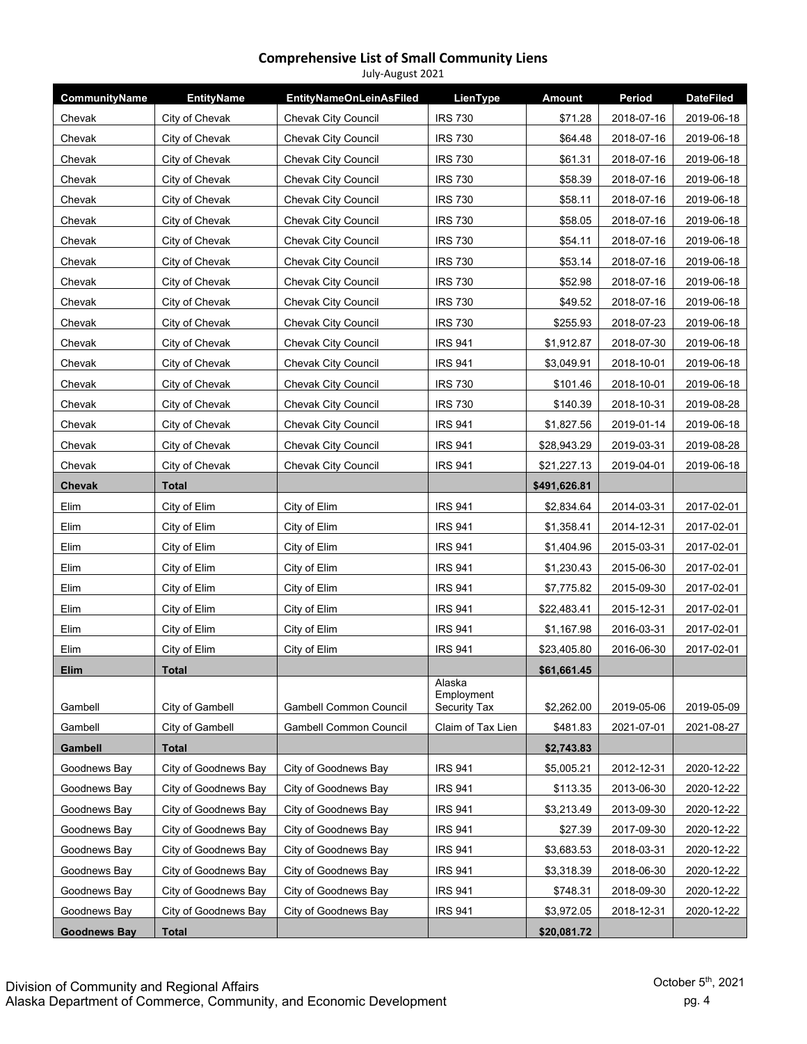| July-August 2021    |                      |                                |                      |               |            |                  |  |
|---------------------|----------------------|--------------------------------|----------------------|---------------|------------|------------------|--|
| CommunityName       | <b>EntityName</b>    | <b>EntityNameOnLeinAsFiled</b> | LienType             | <b>Amount</b> | Period     | <b>DateFiled</b> |  |
| Chevak              | City of Chevak       | Chevak City Council            | <b>IRS 730</b>       | \$71.28       | 2018-07-16 | 2019-06-18       |  |
| Chevak              | City of Chevak       | Chevak City Council            | <b>IRS 730</b>       | \$64.48       | 2018-07-16 | 2019-06-18       |  |
| Chevak              | City of Chevak       | <b>Chevak City Council</b>     | <b>IRS 730</b>       | \$61.31       | 2018-07-16 | 2019-06-18       |  |
| Chevak              | City of Chevak       | <b>Chevak City Council</b>     | <b>IRS 730</b>       | \$58.39       | 2018-07-16 | 2019-06-18       |  |
| Chevak              | City of Chevak       | Chevak City Council            | <b>IRS 730</b>       | \$58.11       | 2018-07-16 | 2019-06-18       |  |
| Chevak              | City of Chevak       | <b>Chevak City Council</b>     | <b>IRS 730</b>       | \$58.05       | 2018-07-16 | 2019-06-18       |  |
| Chevak              | City of Chevak       | <b>Chevak City Council</b>     | <b>IRS 730</b>       | \$54.11       | 2018-07-16 | 2019-06-18       |  |
| Chevak              | City of Chevak       | Chevak City Council            | <b>IRS 730</b>       | \$53.14       | 2018-07-16 | 2019-06-18       |  |
| Chevak              | City of Chevak       | <b>Chevak City Council</b>     | <b>IRS 730</b>       | \$52.98       | 2018-07-16 | 2019-06-18       |  |
| Chevak              | City of Chevak       | <b>Chevak City Council</b>     | <b>IRS 730</b>       | \$49.52       | 2018-07-16 | 2019-06-18       |  |
| Chevak              | City of Chevak       | Chevak City Council            | <b>IRS 730</b>       | \$255.93      | 2018-07-23 | 2019-06-18       |  |
| Chevak              | City of Chevak       | <b>Chevak City Council</b>     | <b>IRS 941</b>       | \$1,912.87    | 2018-07-30 | 2019-06-18       |  |
| Chevak              | City of Chevak       | Chevak City Council            | <b>IRS 941</b>       | \$3,049.91    | 2018-10-01 | 2019-06-18       |  |
| Chevak              | City of Chevak       | Chevak City Council            | <b>IRS 730</b>       | \$101.46      | 2018-10-01 | 2019-06-18       |  |
| Chevak              | City of Chevak       | <b>Chevak City Council</b>     | <b>IRS 730</b>       | \$140.39      | 2018-10-31 | 2019-08-28       |  |
| Chevak              | City of Chevak       | <b>Chevak City Council</b>     | <b>IRS 941</b>       | \$1,827.56    | 2019-01-14 | 2019-06-18       |  |
| Chevak              | City of Chevak       | <b>Chevak City Council</b>     | <b>IRS 941</b>       | \$28,943.29   | 2019-03-31 | 2019-08-28       |  |
| Chevak              | City of Chevak       | Chevak City Council            | <b>IRS 941</b>       | \$21,227.13   | 2019-04-01 | 2019-06-18       |  |
| Chevak              | <b>Total</b>         |                                |                      | \$491,626.81  |            |                  |  |
| Elim                | City of Elim         | City of Elim                   | <b>IRS 941</b>       | \$2,834.64    | 2014-03-31 | 2017-02-01       |  |
| Elim                | City of Elim         | City of Elim                   | <b>IRS 941</b>       | \$1,358.41    | 2014-12-31 | 2017-02-01       |  |
| Elim                | City of Elim         | City of Elim                   | <b>IRS 941</b>       | \$1,404.96    | 2015-03-31 | 2017-02-01       |  |
| Elim                | City of Elim         | City of Elim                   | <b>IRS 941</b>       | \$1,230.43    | 2015-06-30 | 2017-02-01       |  |
| Elim                | City of Elim         | City of Elim                   | <b>IRS 941</b>       | \$7,775.82    | 2015-09-30 | 2017-02-01       |  |
| Elim                | City of Elim         | City of Elim                   | <b>IRS 941</b>       | \$22,483.41   | 2015-12-31 | 2017-02-01       |  |
| Elim                | City of Elim         | City of Elim                   | <b>IRS 941</b>       | \$1,167.98    | 2016-03-31 | 2017-02-01       |  |
| Elim                | City of Elim         | City of Elim                   | <b>IRS 941</b>       | \$23,405.80   | 2016-06-30 | 2017-02-01       |  |
| <b>Elim</b>         | <b>Total</b>         |                                |                      | \$61,661.45   |            |                  |  |
|                     |                      |                                | Alaska<br>Employment |               |            |                  |  |
| Gambell             | City of Gambell      | <b>Gambell Common Council</b>  | Security Tax         | \$2,262.00    | 2019-05-06 | 2019-05-09       |  |
| Gambell             | City of Gambell      | Gambell Common Council         | Claim of Tax Lien    | \$481.83      | 2021-07-01 | 2021-08-27       |  |
| <b>Gambell</b>      | <b>Total</b>         |                                |                      | \$2,743.83    |            |                  |  |
| Goodnews Bay        | City of Goodnews Bay | City of Goodnews Bay           | <b>IRS 941</b>       | \$5,005.21    | 2012-12-31 | 2020-12-22       |  |
| Goodnews Bay        | City of Goodnews Bay | City of Goodnews Bay           | <b>IRS 941</b>       | \$113.35      | 2013-06-30 | 2020-12-22       |  |
| Goodnews Bay        | City of Goodnews Bay | City of Goodnews Bay           | <b>IRS 941</b>       | \$3,213.49    | 2013-09-30 | 2020-12-22       |  |
| Goodnews Bay        | City of Goodnews Bay | City of Goodnews Bay           | <b>IRS 941</b>       | \$27.39       | 2017-09-30 | 2020-12-22       |  |
| Goodnews Bay        | City of Goodnews Bay | City of Goodnews Bay           | <b>IRS 941</b>       | \$3,683.53    | 2018-03-31 | 2020-12-22       |  |
| Goodnews Bay        | City of Goodnews Bay | City of Goodnews Bay           | <b>IRS 941</b>       | \$3,318.39    | 2018-06-30 | 2020-12-22       |  |
| Goodnews Bay        | City of Goodnews Bay | City of Goodnews Bay           | <b>IRS 941</b>       | \$748.31      | 2018-09-30 | 2020-12-22       |  |
| Goodnews Bay        | City of Goodnews Bay | City of Goodnews Bay           | <b>IRS 941</b>       | \$3,972.05    | 2018-12-31 | 2020-12-22       |  |
| <b>Goodnews Bay</b> | <b>Total</b>         |                                |                      | \$20,081.72   |            |                  |  |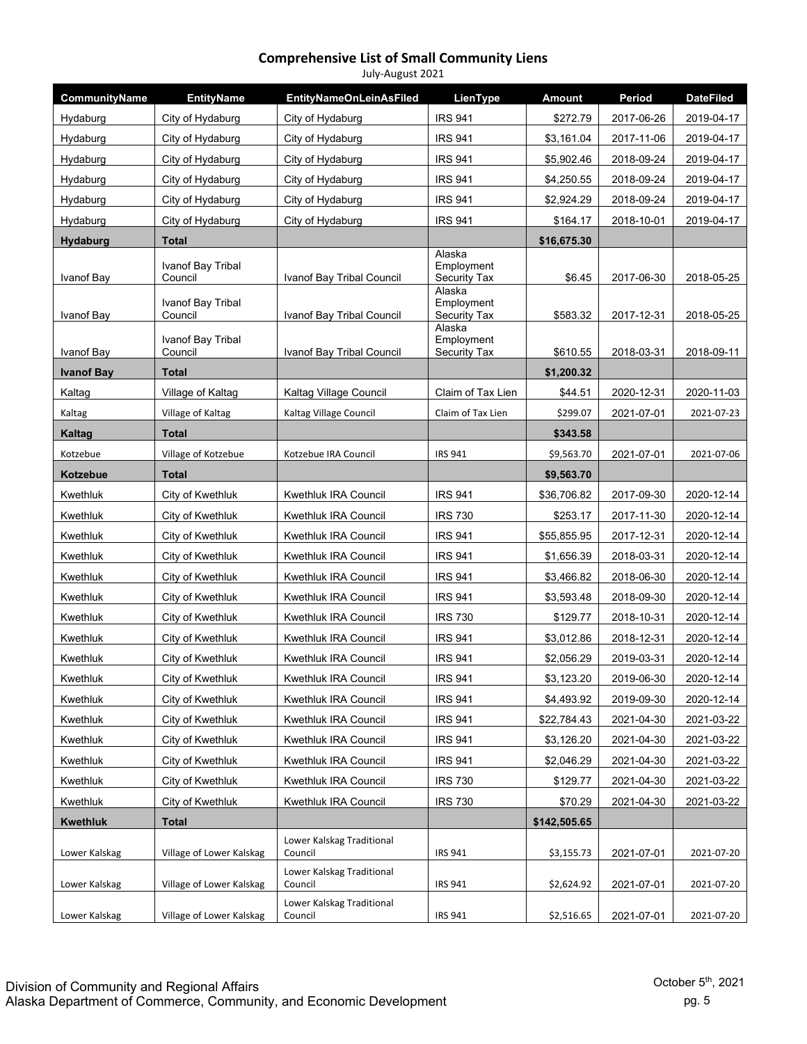#### **Comprehensive List of Small Community Liens** July-August 2021

| CommunityName     | <b>EntityName</b>            | <b>EntityNameOnLeinAsFiled</b>       | LienType                             | <b>Amount</b> | Period     | <b>DateFiled</b> |
|-------------------|------------------------------|--------------------------------------|--------------------------------------|---------------|------------|------------------|
| Hydaburg          | City of Hydaburg             | City of Hydaburg                     | <b>IRS 941</b>                       | \$272.79      | 2017-06-26 | 2019-04-17       |
| Hydaburg          | City of Hydaburg             | City of Hydaburg                     | <b>IRS 941</b>                       | \$3,161.04    | 2017-11-06 | 2019-04-17       |
| Hydaburg          | City of Hydaburg             | City of Hydaburg                     | <b>IRS 941</b>                       | \$5,902.46    | 2018-09-24 | 2019-04-17       |
| Hydaburg          | City of Hydaburg             | City of Hydaburg                     | <b>IRS 941</b>                       | \$4,250.55    | 2018-09-24 | 2019-04-17       |
| Hydaburg          | City of Hydaburg             | City of Hydaburg                     | <b>IRS 941</b>                       | \$2,924.29    | 2018-09-24 | 2019-04-17       |
| Hydaburg          | City of Hydaburg             | City of Hydaburg                     | <b>IRS 941</b>                       | \$164.17      | 2018-10-01 | 2019-04-17       |
| <b>Hydaburg</b>   | Total                        |                                      |                                      | \$16,675.30   |            |                  |
| Ivanof Bay        | Ivanof Bay Tribal<br>Council | Ivanof Bay Tribal Council            | Alaska<br>Employment<br>Security Tax | \$6.45        | 2017-06-30 | 2018-05-25       |
| Ivanof Bay        | Ivanof Bay Tribal<br>Council | Ivanof Bay Tribal Council            | Alaska<br>Employment<br>Security Tax | \$583.32      | 2017-12-31 | 2018-05-25       |
| Ivanof Bay        | Ivanof Bay Tribal<br>Council | Ivanof Bay Tribal Council            | Alaska<br>Employment<br>Security Tax | \$610.55      | 2018-03-31 | 2018-09-11       |
| <b>Ivanof Bay</b> | <b>Total</b>                 |                                      |                                      | \$1,200.32    |            |                  |
| Kaltag            | Village of Kaltag            | Kaltag Village Council               | Claim of Tax Lien                    | \$44.51       | 2020-12-31 | 2020-11-03       |
| Kaltag            | Village of Kaltag            | Kaltag Village Council               | Claim of Tax Lien                    | \$299.07      | 2021-07-01 | 2021-07-23       |
| Kaltag            | <b>Total</b>                 |                                      |                                      | \$343.58      |            |                  |
| Kotzebue          | Village of Kotzebue          | Kotzebue IRA Council                 | <b>IRS 941</b>                       | \$9,563.70    | 2021-07-01 | 2021-07-06       |
| Kotzebue          | <b>Total</b>                 |                                      |                                      | \$9,563.70    |            |                  |
| Kwethluk          | City of Kwethluk             | Kwethluk IRA Council                 | <b>IRS 941</b>                       | \$36,706.82   | 2017-09-30 | 2020-12-14       |
| Kwethluk          | City of Kwethluk             | Kwethluk IRA Council                 | <b>IRS 730</b>                       | \$253.17      | 2017-11-30 | 2020-12-14       |
| Kwethluk          | City of Kwethluk             | Kwethluk IRA Council                 | <b>IRS 941</b>                       | \$55,855.95   | 2017-12-31 | 2020-12-14       |
| Kwethluk          | City of Kwethluk             | Kwethluk IRA Council                 | <b>IRS 941</b>                       | \$1,656.39    | 2018-03-31 | 2020-12-14       |
| Kwethluk          | City of Kwethluk             | Kwethluk IRA Council                 | <b>IRS 941</b>                       | \$3,466.82    | 2018-06-30 | 2020-12-14       |
| Kwethluk          | City of Kwethluk             | Kwethluk IRA Council                 | <b>IRS 941</b>                       | \$3,593.48    | 2018-09-30 | 2020-12-14       |
| Kwethluk          | City of Kwethluk             | Kwethluk IRA Council                 | <b>IRS 730</b>                       | \$129.77      | 2018-10-31 | 2020-12-14       |
| Kwethluk          | City of Kwethluk             | Kwethluk IRA Council                 | <b>IRS 941</b>                       | \$3,012.86    | 2018-12-31 | 2020-12-14       |
| Kwethluk          | City of Kwethluk             | Kwethluk IRA Council                 | <b>IRS 941</b>                       | \$2,056.29    | 2019-03-31 | 2020-12-14       |
| Kwethluk          | City of Kwethluk             | Kwethluk IRA Council                 | <b>IRS 941</b>                       | \$3,123.20    | 2019-06-30 | 2020-12-14       |
| Kwethluk          | City of Kwethluk             | Kwethluk IRA Council                 | <b>IRS 941</b>                       | \$4,493.92    | 2019-09-30 | 2020-12-14       |
| Kwethluk          | City of Kwethluk             | Kwethluk IRA Council                 | <b>IRS 941</b>                       | \$22,784.43   | 2021-04-30 | 2021-03-22       |
| Kwethluk          | City of Kwethluk             | Kwethluk IRA Council                 | <b>IRS 941</b>                       | \$3,126.20    | 2021-04-30 | 2021-03-22       |
| Kwethluk          | City of Kwethluk             | Kwethluk IRA Council                 | <b>IRS 941</b>                       | \$2,046.29    | 2021-04-30 | 2021-03-22       |
| Kwethluk          | City of Kwethluk             | Kwethluk IRA Council                 | <b>IRS 730</b>                       | \$129.77      | 2021-04-30 | 2021-03-22       |
| Kwethluk          | City of Kwethluk             | Kwethluk IRA Council                 | <b>IRS 730</b>                       | \$70.29       | 2021-04-30 | 2021-03-22       |
| <b>Kwethluk</b>   | Total                        |                                      |                                      | \$142,505.65  |            |                  |
| Lower Kalskag     | Village of Lower Kalskag     | Lower Kalskag Traditional<br>Council | <b>IRS 941</b>                       | \$3,155.73    | 2021-07-01 | 2021-07-20       |
| Lower Kalskag     | Village of Lower Kalskag     | Lower Kalskag Traditional<br>Council | <b>IRS 941</b>                       | \$2,624.92    | 2021-07-01 | 2021-07-20       |
| Lower Kalskag     | Village of Lower Kalskag     | Lower Kalskag Traditional<br>Council | <b>IRS 941</b>                       | \$2,516.65    | 2021-07-01 | 2021-07-20       |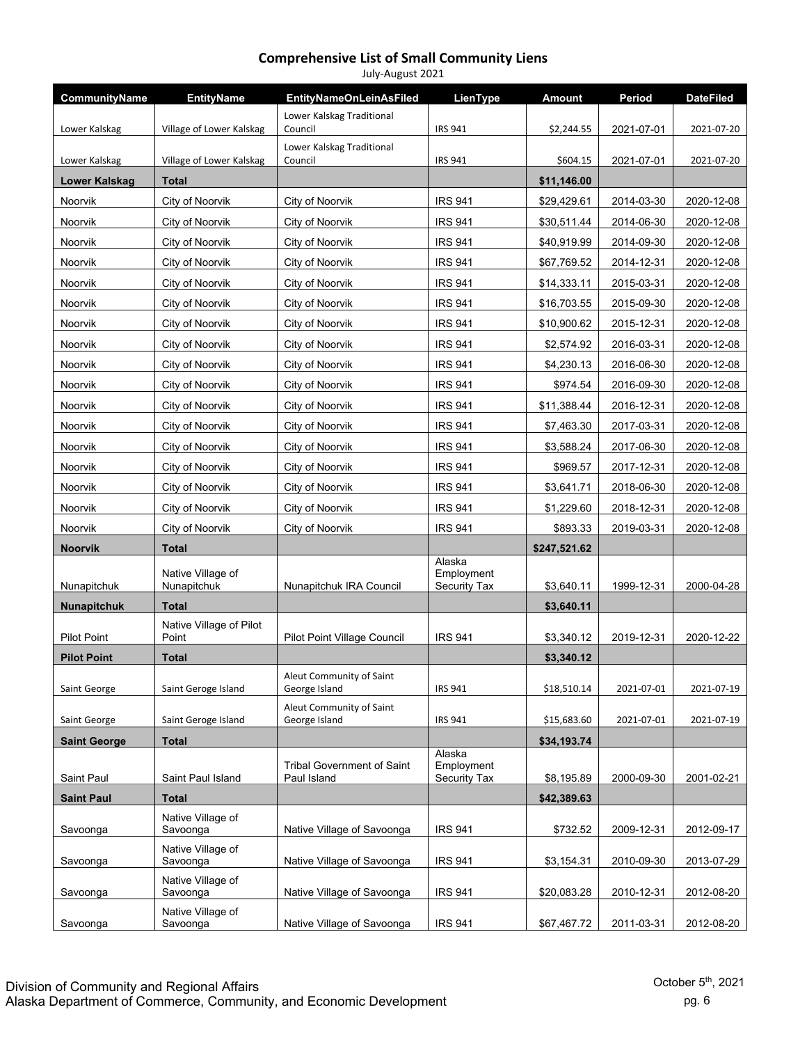| July-August 2021     |                                  |                                           |                                      |               |            |                  |  |
|----------------------|----------------------------------|-------------------------------------------|--------------------------------------|---------------|------------|------------------|--|
| CommunityName        | <b>EntityName</b>                | <b>EntityNameOnLeinAsFiled</b>            | LienType                             | <b>Amount</b> | Period     | <b>DateFiled</b> |  |
| Lower Kalskag        | Village of Lower Kalskag         | Lower Kalskag Traditional<br>Council      | <b>IRS 941</b>                       | \$2,244.55    | 2021-07-01 | 2021-07-20       |  |
| Lower Kalskag        | Village of Lower Kalskag         | Lower Kalskag Traditional<br>Council      | <b>IRS 941</b>                       | \$604.15      | 2021-07-01 | 2021-07-20       |  |
| <b>Lower Kalskag</b> | <b>Total</b>                     |                                           |                                      | \$11,146.00   |            |                  |  |
| Noorvik              | City of Noorvik                  | City of Noorvik                           | <b>IRS 941</b>                       | \$29,429.61   | 2014-03-30 | 2020-12-08       |  |
| Noorvik              | City of Noorvik                  | City of Noorvik                           | <b>IRS 941</b>                       | \$30,511.44   | 2014-06-30 | 2020-12-08       |  |
| Noorvik              | City of Noorvik                  | City of Noorvik                           | <b>IRS 941</b>                       | \$40,919.99   | 2014-09-30 | 2020-12-08       |  |
| Noorvik              | City of Noorvik                  | City of Noorvik                           | <b>IRS 941</b>                       | \$67,769.52   | 2014-12-31 | 2020-12-08       |  |
| Noorvik              | City of Noorvik                  | City of Noorvik                           | <b>IRS 941</b>                       | \$14,333.11   | 2015-03-31 | 2020-12-08       |  |
| Noorvik              | City of Noorvik                  | City of Noorvik                           | <b>IRS 941</b>                       | \$16,703.55   | 2015-09-30 | 2020-12-08       |  |
| Noorvik              | City of Noorvik                  | City of Noorvik                           | <b>IRS 941</b>                       | \$10,900.62   | 2015-12-31 | 2020-12-08       |  |
| Noorvik              | City of Noorvik                  | City of Noorvik                           | <b>IRS 941</b>                       | \$2,574.92    | 2016-03-31 | 2020-12-08       |  |
| Noorvik              | City of Noorvik                  | City of Noorvik                           | <b>IRS 941</b>                       | \$4,230.13    | 2016-06-30 | 2020-12-08       |  |
| Noorvik              | City of Noorvik                  | City of Noorvik                           | <b>IRS 941</b>                       | \$974.54      | 2016-09-30 | 2020-12-08       |  |
| Noorvik              | City of Noorvik                  | City of Noorvik                           | <b>IRS 941</b>                       | \$11,388.44   | 2016-12-31 | 2020-12-08       |  |
| Noorvik              | City of Noorvik                  | City of Noorvik                           | <b>IRS 941</b>                       | \$7,463.30    | 2017-03-31 | 2020-12-08       |  |
| Noorvik              | City of Noorvik                  | City of Noorvik                           | <b>IRS 941</b>                       | \$3,588.24    | 2017-06-30 | 2020-12-08       |  |
| Noorvik              | City of Noorvik                  | City of Noorvik                           | <b>IRS 941</b>                       | \$969.57      | 2017-12-31 | 2020-12-08       |  |
| Noorvik              | City of Noorvik                  | City of Noorvik                           | <b>IRS 941</b>                       | \$3,641.71    | 2018-06-30 | 2020-12-08       |  |
| Noorvik              | City of Noorvik                  | City of Noorvik                           | <b>IRS 941</b>                       | \$1,229.60    | 2018-12-31 | 2020-12-08       |  |
| Noorvik              | City of Noorvik                  | City of Noorvik                           | <b>IRS 941</b>                       | \$893.33      | 2019-03-31 | 2020-12-08       |  |
| <b>Noorvik</b>       | <b>Total</b>                     |                                           |                                      | \$247,521.62  |            |                  |  |
| Nunapitchuk          | Native Village of<br>Nunapitchuk | Nunapitchuk IRA Council                   | Alaska<br>Employment<br>Security Tax | \$3,640.11    | 1999-12-31 | 2000-04-28       |  |
| Nunapitchuk          | <b>Total</b>                     |                                           |                                      | \$3,640.11    |            |                  |  |
| <b>Pilot Point</b>   | Native Village of Pilot<br>Point | Pilot Point Village Council               | <b>IRS 941</b>                       | \$3,340.12    | 2019-12-31 | 2020-12-22       |  |
| <b>Pilot Point</b>   | <b>Total</b>                     |                                           |                                      | \$3,340.12    |            |                  |  |
|                      |                                  | Aleut Community of Saint                  |                                      |               |            |                  |  |
| Saint George         | Saint Geroge Island              | George Island                             | <b>IRS 941</b>                       | \$18,510.14   | 2021-07-01 | 2021-07-19       |  |
| Saint George         | Saint Geroge Island              | Aleut Community of Saint<br>George Island | <b>IRS 941</b>                       | \$15,683.60   | 2021-07-01 | 2021-07-19       |  |
| <b>Saint George</b>  | <b>Total</b>                     |                                           |                                      | \$34,193.74   |            |                  |  |
|                      |                                  | <b>Tribal Government of Saint</b>         | Alaska<br>Employment                 |               |            |                  |  |
| Saint Paul           | Saint Paul Island                | Paul Island                               | <b>Security Tax</b>                  | \$8,195.89    | 2000-09-30 | 2001-02-21       |  |
| <b>Saint Paul</b>    | <b>Total</b>                     |                                           |                                      | \$42,389.63   |            |                  |  |
| Savoonga             | Native Village of<br>Savoonga    | Native Village of Savoonga                | <b>IRS 941</b>                       | \$732.52      | 2009-12-31 | 2012-09-17       |  |
| Savoonga             | Native Village of<br>Savoonga    | Native Village of Savoonga                | <b>IRS 941</b>                       | \$3,154.31    | 2010-09-30 | 2013-07-29       |  |
| Savoonga             | Native Village of<br>Savoonga    | Native Village of Savoonga                | <b>IRS 941</b>                       | \$20,083.28   | 2010-12-31 | 2012-08-20       |  |
| Savoonga             | Native Village of<br>Savoonga    | Native Village of Savoonga                | <b>IRS 941</b>                       | \$67,467.72   | 2011-03-31 | 2012-08-20       |  |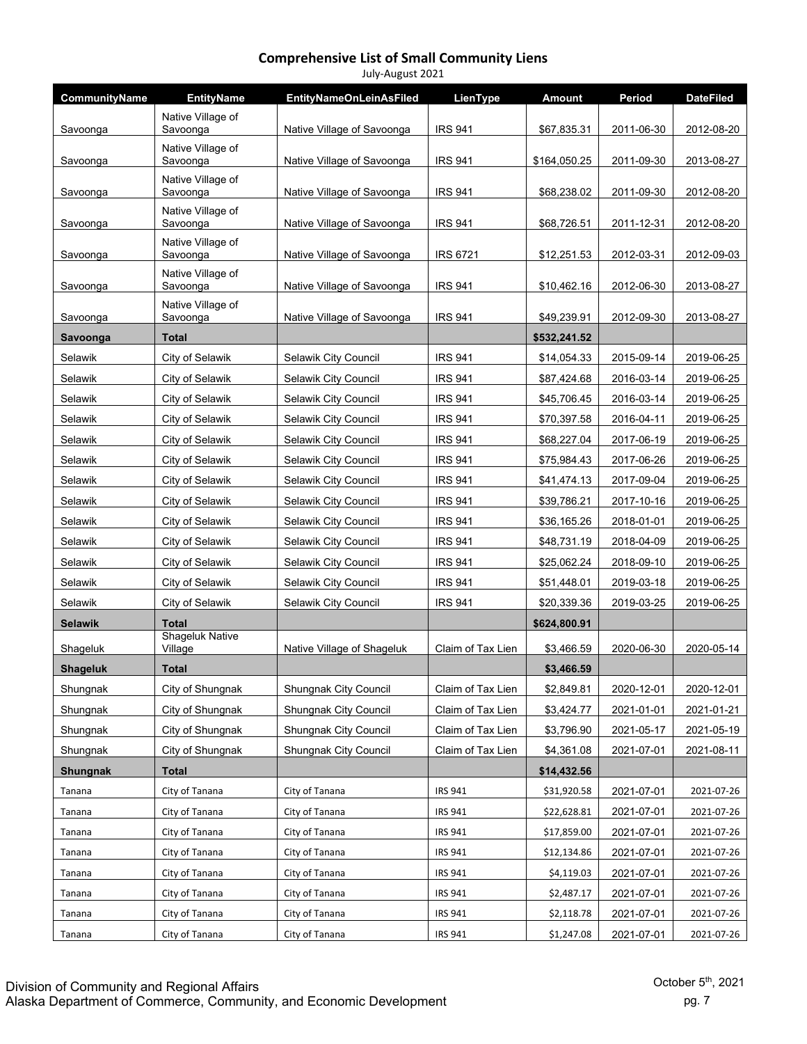| July-August 2021     |                                   |                                |                   |              |            |                  |  |
|----------------------|-----------------------------------|--------------------------------|-------------------|--------------|------------|------------------|--|
| <b>CommunityName</b> | <b>EntityName</b>                 | <b>EntityNameOnLeinAsFiled</b> | LienType          | Amount       | Period     | <b>DateFiled</b> |  |
| Savoonga             | Native Village of<br>Savoonga     | Native Village of Savoonga     | <b>IRS 941</b>    | \$67,835.31  | 2011-06-30 | 2012-08-20       |  |
|                      | Native Village of                 |                                |                   |              |            |                  |  |
| Savoonga             | Savoonga                          | Native Village of Savoonga     | <b>IRS 941</b>    | \$164,050.25 | 2011-09-30 | 2013-08-27       |  |
| Savoonga             | Native Village of<br>Savoonga     | Native Village of Savoonga     | <b>IRS 941</b>    | \$68,238.02  | 2011-09-30 | 2012-08-20       |  |
|                      | Native Village of                 |                                |                   |              |            |                  |  |
| Savoonga             | Savoonga<br>Native Village of     | Native Village of Savoonga     | <b>IRS 941</b>    | \$68,726.51  | 2011-12-31 | 2012-08-20       |  |
| Savoonga             | Savoonga                          | Native Village of Savoonga     | <b>IRS 6721</b>   | \$12,251.53  | 2012-03-31 | 2012-09-03       |  |
| Savoonga             | Native Village of<br>Savoonga     | Native Village of Savoonga     | <b>IRS 941</b>    | \$10,462.16  | 2012-06-30 | 2013-08-27       |  |
| Savoonga             | Native Village of<br>Savoonga     | Native Village of Savoonga     | <b>IRS 941</b>    | \$49,239.91  | 2012-09-30 | 2013-08-27       |  |
| Savoonga             | <b>Total</b>                      |                                |                   | \$532,241.52 |            |                  |  |
| Selawik              | City of Selawik                   | Selawik City Council           | <b>IRS 941</b>    | \$14,054.33  | 2015-09-14 | 2019-06-25       |  |
| Selawik              | City of Selawik                   | Selawik City Council           | <b>IRS 941</b>    | \$87,424.68  | 2016-03-14 | 2019-06-25       |  |
| Selawik              | City of Selawik                   | Selawik City Council           | <b>IRS 941</b>    | \$45,706.45  | 2016-03-14 | 2019-06-25       |  |
| Selawik              | City of Selawik                   | Selawik City Council           | <b>IRS 941</b>    | \$70,397.58  | 2016-04-11 | 2019-06-25       |  |
| Selawik              | City of Selawik                   | Selawik City Council           | <b>IRS 941</b>    | \$68,227.04  | 2017-06-19 | 2019-06-25       |  |
| Selawik              | City of Selawik                   | Selawik City Council           | <b>IRS 941</b>    | \$75,984.43  | 2017-06-26 | 2019-06-25       |  |
| Selawik              | City of Selawik                   | Selawik City Council           | <b>IRS 941</b>    | \$41,474.13  | 2017-09-04 | 2019-06-25       |  |
| Selawik              | City of Selawik                   | Selawik City Council           | <b>IRS 941</b>    | \$39,786.21  | 2017-10-16 | 2019-06-25       |  |
| Selawik              | City of Selawik                   | Selawik City Council           | <b>IRS 941</b>    | \$36,165.26  | 2018-01-01 | 2019-06-25       |  |
| Selawik              | City of Selawik                   | Selawik City Council           | <b>IRS 941</b>    | \$48,731.19  | 2018-04-09 | 2019-06-25       |  |
| Selawik              | City of Selawik                   | Selawik City Council           | <b>IRS 941</b>    | \$25,062.24  | 2018-09-10 | 2019-06-25       |  |
| Selawik              | City of Selawik                   | Selawik City Council           | <b>IRS 941</b>    | \$51,448.01  | 2019-03-18 | 2019-06-25       |  |
| Selawik              | City of Selawik                   | Selawik City Council           | <b>IRS 941</b>    | \$20,339.36  | 2019-03-25 | 2019-06-25       |  |
| <b>Selawik</b>       | <b>Total</b>                      |                                |                   | \$624,800.91 |            |                  |  |
| Shageluk             | <b>Shageluk Native</b><br>Village | Native Village of Shageluk     | Claim of Tax Lien | \$3,466.59   | 2020-06-30 | 2020-05-14       |  |
| <b>Shageluk</b>      | <b>Total</b>                      |                                |                   | \$3,466.59   |            |                  |  |
| Shungnak             | City of Shungnak                  | <b>Shungnak City Council</b>   | Claim of Tax Lien | \$2,849.81   | 2020-12-01 | 2020-12-01       |  |
| Shungnak             | City of Shungnak                  | Shungnak City Council          | Claim of Tax Lien | \$3,424.77   | 2021-01-01 | 2021-01-21       |  |
| Shungnak             | City of Shungnak                  | <b>Shungnak City Council</b>   | Claim of Tax Lien | \$3,796.90   | 2021-05-17 | 2021-05-19       |  |
| Shungnak             | City of Shungnak                  | <b>Shungnak City Council</b>   | Claim of Tax Lien | \$4,361.08   | 2021-07-01 | 2021-08-11       |  |
| Shungnak             | <b>Total</b>                      |                                |                   | \$14,432.56  |            |                  |  |
| Tanana               | City of Tanana                    | City of Tanana                 | <b>IRS 941</b>    | \$31,920.58  | 2021-07-01 | 2021-07-26       |  |
| Tanana               | City of Tanana                    | City of Tanana                 | <b>IRS 941</b>    | \$22,628.81  | 2021-07-01 | 2021-07-26       |  |
| Tanana               | City of Tanana                    | City of Tanana                 | <b>IRS 941</b>    | \$17,859.00  | 2021-07-01 | 2021-07-26       |  |
| Tanana               | City of Tanana                    | City of Tanana                 | <b>IRS 941</b>    | \$12,134.86  | 2021-07-01 | 2021-07-26       |  |
| Tanana               | City of Tanana                    | City of Tanana                 | <b>IRS 941</b>    | \$4,119.03   | 2021-07-01 | 2021-07-26       |  |
| Tanana               | City of Tanana                    | City of Tanana                 | <b>IRS 941</b>    | \$2,487.17   | 2021-07-01 | 2021-07-26       |  |
| Tanana               | City of Tanana                    | City of Tanana                 | <b>IRS 941</b>    | \$2,118.78   | 2021-07-01 | 2021-07-26       |  |
| Tanana               | City of Tanana                    | City of Tanana                 | <b>IRS 941</b>    | \$1,247.08   | 2021-07-01 | 2021-07-26       |  |